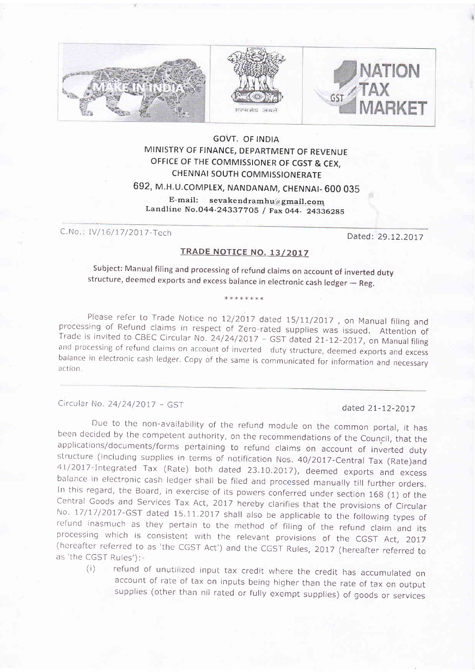

### GOVT. OF INDIA MINISTRY OF FINANCE, DEPARTMENT OF REVENUE OFFICE OF THE COMMISSIONER OF CGST & CEX, CHENNAI SOUTH COMMISSIONERATE

# 692, v.H.u.coMPLEX, NANDANAM, cHENNAI- 600 035

E-mail: sevakendramhu@gmail.com Landline No.044-24337705 / Fax 044- 24336285

C.No.: IV/16/17/2017-Tech Dated: 29.12.2017

### TRADE NOTICE NO. 13/2017

subject: Manual filing and processing of refund claims on account of inverted duty structure, deemed exports and excess balance in electronic cash ledger – Reg.

\*\*\*\*\*\*\*

Please refer to Trade Notice no 12/2017 dated 15/11/2017, on Manual filing and<br>processing of Refund claims in respect of Zero-rated supplies was issued. Attention of<br>Trade is invited to CBEC Circular No. 24/24/2017 - GST d balance in electronic cash ledger. Copy of the same is communicated for information and necessary action

Circular No. 24/24/2017 - GST dated 21-12-2017

Due to the non-availability of the refund module on the common portal, it has<br>been decided by the competent authority, on the recommendations of the Council, that the<br>applications/documents/forms pertaining to refund claim

(i) refund of unutilized input tax credit where the credit has accumulated on account of rate of tax on inputs being higher than the rate of tax on output supplies (other than nil rated or fully exempt supplies) of goods or services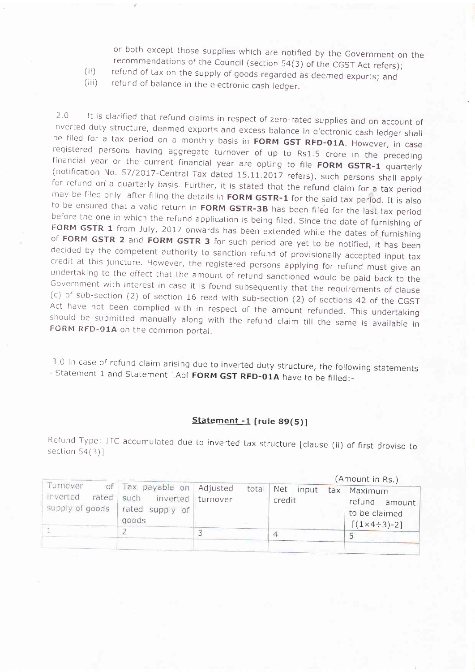or both except those supplies which are notified by the Government on the recommendations of the Council (section 54(3) of the CGST Act refers); refund of tax on the supply of goods regarded as deemed exports; and refund o

 $(ii)$ 

 $(iii)$ 

2.0 It is clarified that refund claims in respect of zero-rated supplies and on account of inverted duty structure, deemed exports and excess balance in electronic cash ledger shall be filed for a tax period on a monthly to be ensured that a valid return in **FORM GSTR-3B** has been filed for the last tax period<br>before the one in which the refund application is being filed. Since the date of furnishing of<br>**FORM GSTR 1** from July, 2017 onwar

3.0 In case of refund claim arising due to inverted duty structure, the following statements Statement 1 and Statement 1Aof FORM GST RFD-01A have to be filled:-

#### Statement -1 [rule 89(5)]

Refund Type: ITC accumulated due to inverted tax structure [clause (ii) of first proviso to section 54(3)]

|                                                  |                                                                   |                      |       |               |       |     | (Amount in Rs.)                                                             |
|--------------------------------------------------|-------------------------------------------------------------------|----------------------|-------|---------------|-------|-----|-----------------------------------------------------------------------------|
| Turnover<br>inverted<br>rated<br>supply of goods | of Tax payable on<br>such<br>inverted<br>rated supply of<br>goods | Adjusted<br>turnover | total | Net<br>credit | input | tax | Maximum<br>refund<br>amount<br>to be claimed<br>$[(1 \times 4 \div 3) - 2]$ |
|                                                  |                                                                   |                      |       |               |       |     |                                                                             |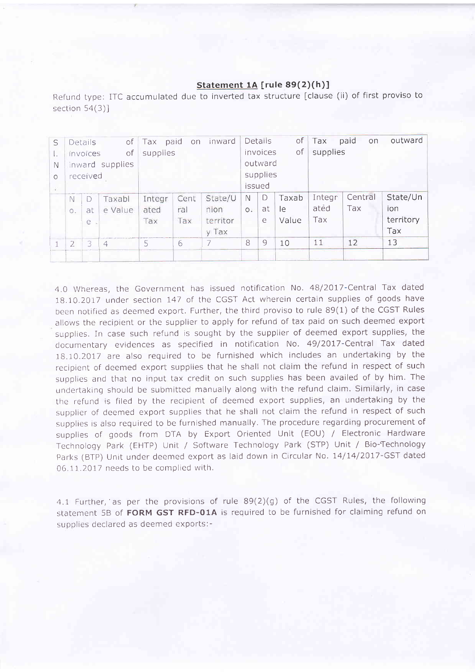## Statement 1A [rule 89(2)(h)]

Refund type: ITC accumulated due to inverted tax structure [clause (ii) of first proviso to section  $54(3)$ ]

| S        |                | Details  | $\circ$ f       | Tax      | paid on | inward   |                | Details  | of    | Tax      | paid<br>on | outward   |
|----------|----------------|----------|-----------------|----------|---------|----------|----------------|----------|-------|----------|------------|-----------|
| L.       |                | invoices | of              | supplies |         |          |                | invoices | оf    | supplies |            |           |
| N        |                |          | inward supplies |          |         |          |                | outward  |       |          |            |           |
| $\Omega$ |                | received |                 |          |         |          |                | supplies |       |          |            |           |
| УÑ       |                |          |                 |          |         | issued   |                |          |       |          |            |           |
|          | N              | D        | Taxabl          | Integr   | Cent    | State/U  | N              | D        | Taxab | Integr   | Central    | State/Un  |
|          | Ο.             | at       | e Value         | ated     | ral     | nion     | O <sub>1</sub> | at       | le    | ated     | Tax        | ion       |
|          |                | e        |                 | Tax      | Tax     | territor |                | e        | Value | Tax      |            | territory |
|          |                |          |                 |          |         | y Tax    |                |          |       |          |            | Tax       |
|          | $\overline{2}$ | 3        | 4               | 5.       | 6       | 7        | 8              | 9        | 10    | 11       | 12         | 13        |
|          |                |          |                 |          |         |          |                |          |       |          |            |           |

4.0 Whereas, the Government has issued notification No. 48/2017-Central Tax dated 18.10.2017 under section 747 of the CGST Act wherein certain supplies of goods have been notified as deemed export. Further, the third proviso to rule 89(1) of the CGST Rules allows the recipient or the supplier to apply for refund of tax paid on such deemed export supplies. In case such refund is sought by the supplier of deemed export supplies, the documentary evidences as specified in notification No.49/2077-Central Tax dated 18.10.2017 are also required to be furnished which includes an undertaking by the recipient of deemed export supplies that he shall not claim the refund in respect of such supplies and that no input tax credit on such supplies has been availed of by him. The undertakinq should be submitted manually along with the refund claim. Similarly, in case the refund is filed by the recipient of deemed export supplies, an undertaking by the supplier of deemed export supplies that he shall not claim the refund in respect of such supplies is also required to be furnished manually. The procedure regarding procurement of supplies of goods from DTA by Export Oriented Unit (EOU) / Electronic Hardware Technoloqy Park (EHTP) Unit / Software Technology Park (STP) Unit / Bio-Technology Parks (BTP) Unit under deemed export as laid down in Circular No. 14/14/2017-GST dated 06 11 .2011 needs to be complied with.

4.I Further,'as per the provisions of rule B9(2)(g) of the CGST Rules, the following statement 58 of FORM GST RFD-O1A is required to be furnished for claiming refund on supplies declared as deemed exports:-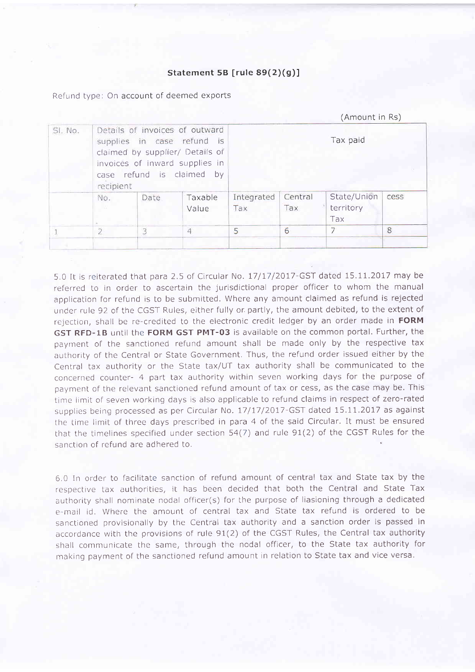#### Statement 5B [rule  $89(2)(g)$ ]

Refund type: On account of deemed exports

|         |                |      |                                                                                                                                                                | (Amount in Rs)    |                |                                 |      |  |  |
|---------|----------------|------|----------------------------------------------------------------------------------------------------------------------------------------------------------------|-------------------|----------------|---------------------------------|------|--|--|
| SI. No. | recipient      |      | Details of invoices of outward<br>supplies in case refund is<br>claimed by supplier/ Details of<br>invoices of inward supplies in<br>case refund is claimed by | Tax paid          |                |                                 |      |  |  |
|         | No.            | Date | Taxable<br>Value                                                                                                                                               | Integrated<br>Tax | Central<br>Tax | State/Union<br>territory<br>Tax | cess |  |  |
|         | $\overline{2}$ | 3    | $\overline{4}$                                                                                                                                                 | 5                 | 6              | 7                               | 8    |  |  |
|         |                |      |                                                                                                                                                                |                   |                |                                 |      |  |  |

5.0 It is reiterated that para 2.5 of Circular No. 17/17/2017-GST dated 15.11.2017 may be referred to in order to ascertain the jurisdictional proper officer to whom the manual application for refund is to be submitted, Where any amount claimed as refund is rejected under rule 92 of the CGST Rules, either fully or. partly, the amount debited, to the extent of rejection, shall be re-credited to the electronic credit ledger by an order made in FORM GST RFD-LB until the FORM GST PMT-03 is available on the common portal, Further, the payment of the sanctioned refund amount shall be made only by the respective tax authority of the Central or State Government. Thus, the refund order issued either by the Central tax authority or the State tax/UT tax authority shall be communicated to the concerned counter- 4 part tax authority within seven working days for the purpose of payment of the relevant sanctioned refund amount of tax or cess, as the case may be. This time limit of seven working days is also applicable to refund claims in respect of zero-rated supplies being processed as per Circular No. 17/17/2017-GST dated 15.11.2017 as against the time limit of three days prescribed in para 4 of the said Circular. It must be ensured that the timelines specified under section 54(7) and rule 91(2) of the CGST Rules for the sanction of refund are adhered to.

6.0 In order to facilitate sanction of refund amount of central tax and State tax by the respective tax authorities, it has been decided that both the Central and State Tax authority shall nominate nodal officer(s) for the purpose of liasioning through a dedicated e-mail id. Where the amount of central tax and State tax refund is ordered to be sanctioned provisionally by the Central tax authority and a sanction order is passed in accordance with the provisions of rule 91(2) of the CGST Rules, the Central tax authority shall communicate the same, through the nodal officer, to the State tax authority for making payment of the sanctioned refund amount in relation to State tax and vice versa.